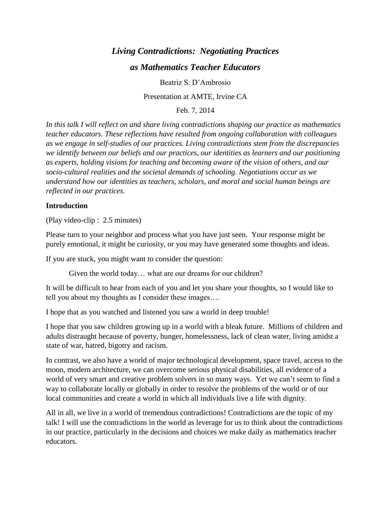# *Living Contradictions: Negotiating Practices as Mathematics Teacher Educators*

Beatriz S. D'Ambrosio

Presentation at AMTE, Irvine CA

Feb. 7, 2014

*In this talk I will reflect on and share living contradictions shaping our practice as mathematics teacher educators. These reflections have resulted from ongoing collaboration with colleagues as we engage in self-studies of our practices. Living contradictions stem from the discrepancies we identify between our beliefs and our practices, our identities as learners and our positioning as experts, holding visions for teaching and becoming aware of the vision of others, and our socio-cultural realities and the societal demands of schooling. Negotiations occur as we understand how our identities as teachers, scholars, and moral and social human beings are reflected in our practices.*

## **Introduction**

(Play video-clip : 2.5 minutes)

Please turn to your neighbor and process what you have just seen. Your response might be purely emotional, it might be curiosity, or you may have generated some thoughts and ideas.

If you are stuck, you might want to consider the question:

Given the world today… what are our dreams for our children?

It will be difficult to hear from each of you and let you share your thoughts, so I would like to tell you about my thoughts as I consider these images….

I hope that as you watched and listened you saw a world in deep trouble!

I hope that you saw children growing up in a world with a bleak future. Millions of children and adults distraught because of poverty, hunger, homelessness, lack of clean water, living amidst a state of war, hatred, bigotry and racism.

In contrast, we also have a world of major technological development, space travel, access to the moon, modern architecture, we can overcome serious physical disabilities, all evidence of a world of very smart and creative problem solvers in so many ways. Yet we can't seem to find a way to collaborate locally or globally in order to resolve the problems of the world or of our local communities and create a world in which all individuals live a life with dignity.

All in all, we live in a world of tremendous contradictions! Contradictions are the topic of my talk! I will use the contradictions in the world as leverage for us to think about the contradictions in our practice, particularly in the decisions and choices we make daily as mathematics teacher educators.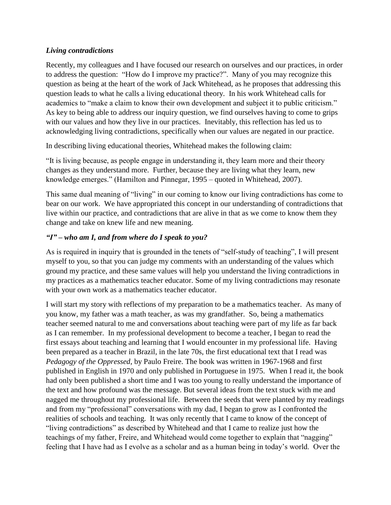## *Living contradictions*

Recently, my colleagues and I have focused our research on ourselves and our practices, in order to address the question: "How do I improve my practice?". Many of you may recognize this question as being at the heart of the work of Jack Whitehead, as he proposes that addressing this question leads to what he calls a living educational theory. In his work Whitehead calls for academics to "make a claim to know their own development and subject it to public criticism." As key to being able to address our inquiry question, we find ourselves having to come to grips with our values and how they live in our practices. Inevitably, this reflection has led us to acknowledging living contradictions, specifically when our values are negated in our practice.

In describing living educational theories, Whitehead makes the following claim:

"It is living because, as people engage in understanding it, they learn more and their theory changes as they understand more. Further, because they are living what they learn, new knowledge emerges." (Hamilton and Pinnegar, 1995 – quoted in Whitehead, 2007).

This same dual meaning of "living" in our coming to know our living contradictions has come to bear on our work. We have appropriated this concept in our understanding of contradictions that live within our practice, and contradictions that are alive in that as we come to know them they change and take on knew life and new meaning.

## *"I" – who am I, and from where do I speak to you?*

As is required in inquiry that is grounded in the tenets of "self-study of teaching", I will present myself to you, so that you can judge my comments with an understanding of the values which ground my practice, and these same values will help you understand the living contradictions in my practices as a mathematics teacher educator. Some of my living contradictions may resonate with your own work as a mathematics teacher educator.

I will start my story with reflections of my preparation to be a mathematics teacher. As many of you know, my father was a math teacher, as was my grandfather. So, being a mathematics teacher seemed natural to me and conversations about teaching were part of my life as far back as I can remember. In my professional development to become a teacher, I began to read the first essays about teaching and learning that I would encounter in my professional life. Having been prepared as a teacher in Brazil, in the late 70s, the first educational text that I read was *Pedagogy of the Oppressed*, by Paulo Freire. The book was written in 1967-1968 and first published in English in 1970 and only published in Portuguese in 1975. When I read it, the book had only been published a short time and I was too young to really understand the importance of the text and how profound was the message. But several ideas from the text stuck with me and nagged me throughout my professional life. Between the seeds that were planted by my readings and from my "professional" conversations with my dad, I began to grow as I confronted the realities of schools and teaching. It was only recently that I came to know of the concept of "living contradictions" as described by Whitehead and that I came to realize just how the teachings of my father, Freire, and Whitehead would come together to explain that "nagging" feeling that I have had as I evolve as a scholar and as a human being in today's world. Over the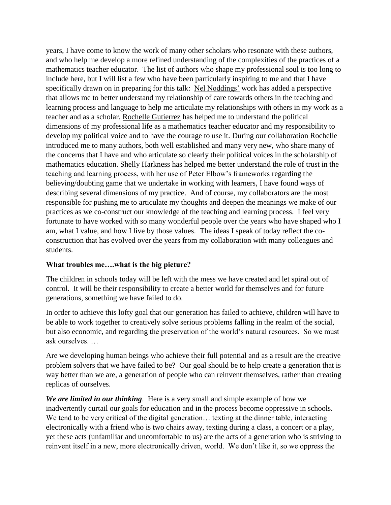years, I have come to know the work of many other scholars who resonate with these authors, and who help me develop a more refined understanding of the complexities of the practices of a mathematics teacher educator. The list of authors who shape my professional soul is too long to include here, but I will list a few who have been particularly inspiring to me and that I have specifically drawn on in preparing for this talk: Nel Noddings' work has added a perspective that allows me to better understand my relationship of care towards others in the teaching and learning process and language to help me articulate my relationships with others in my work as a teacher and as a scholar. Rochelle Gutierrez has helped me to understand the political dimensions of my professional life as a mathematics teacher educator and my responsibility to develop my political voice and to have the courage to use it. During our collaboration Rochelle introduced me to many authors, both well established and many very new, who share many of the concerns that I have and who articulate so clearly their political voices in the scholarship of mathematics education. Shelly Harkness has helped me better understand the role of trust in the teaching and learning process, with her use of Peter Elbow's frameworks regarding the believing/doubting game that we undertake in working with learners, I have found ways of describing several dimensions of my practice. And of course, my collaborators are the most responsible for pushing me to articulate my thoughts and deepen the meanings we make of our practices as we co-construct our knowledge of the teaching and learning process. I feel very fortunate to have worked with so many wonderful people over the years who have shaped who I am, what I value, and how I live by those values. The ideas I speak of today reflect the coconstruction that has evolved over the years from my collaboration with many colleagues and students.

## **What troubles me….what is the big picture?**

The children in schools today will be left with the mess we have created and let spiral out of control. It will be their responsibility to create a better world for themselves and for future generations, something we have failed to do.

In order to achieve this lofty goal that our generation has failed to achieve, children will have to be able to work together to creatively solve serious problems falling in the realm of the social, but also economic, and regarding the preservation of the world's natural resources. So we must ask ourselves. …

Are we developing human beings who achieve their full potential and as a result are the creative problem solvers that we have failed to be? Our goal should be to help create a generation that is way better than we are, a generation of people who can reinvent themselves, rather than creating replicas of ourselves.

*We are limited in our thinking*. Here is a very small and simple example of how we inadvertently curtail our goals for education and in the process become oppressive in schools. We tend to be very critical of the digital generation... texting at the dinner table, interacting electronically with a friend who is two chairs away, texting during a class, a concert or a play, yet these acts (unfamiliar and uncomfortable to us) are the acts of a generation who is striving to reinvent itself in a new, more electronically driven, world. We don't like it, so we oppress the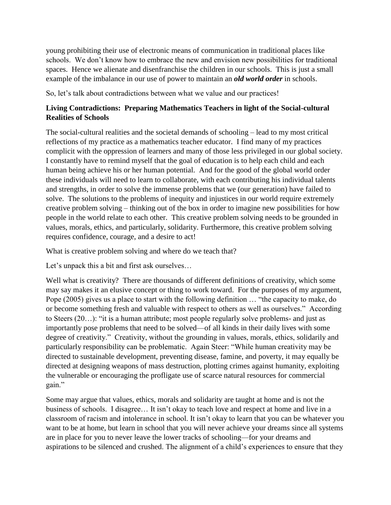young prohibiting their use of electronic means of communication in traditional places like schools. We don't know how to embrace the new and envision new possibilities for traditional spaces. Hence we alienate and disenfranchise the children in our schools. This is just a small example of the imbalance in our use of power to maintain an *old world order* in schools.

So, let's talk about contradictions between what we value and our practices!

## **Living Contradictions: Preparing Mathematics Teachers in light of the Social-cultural Realities of Schools**

The social-cultural realities and the societal demands of schooling – lead to my most critical reflections of my practice as a mathematics teacher educator. I find many of my practices complicit with the oppression of learners and many of those less privileged in our global society. I constantly have to remind myself that the goal of education is to help each child and each human being achieve his or her human potential. And for the good of the global world order these individuals will need to learn to collaborate, with each contributing his individual talents and strengths, in order to solve the immense problems that we (our generation) have failed to solve. The solutions to the problems of inequity and injustices in our world require extremely creative problem solving – thinking out of the box in order to imagine new possibilities for how people in the world relate to each other. This creative problem solving needs to be grounded in values, morals, ethics, and particularly, solidarity. Furthermore, this creative problem solving requires confidence, courage, and a desire to act!

What is creative problem solving and where do we teach that?

Let's unpack this a bit and first ask ourselves...

Well what is creativity? There are thousands of different definitions of creativity, which some may say makes it an elusive concept or thing to work toward. For the purposes of my argument, Pope (2005) gives us a place to start with the following definition … "the capacity to make, do or become something fresh and valuable with respect to others as well as ourselves." According to Steers (20…): "it is a human attribute; most people regularly solve problems- and just as importantly pose problems that need to be solved—of all kinds in their daily lives with some degree of creativity." Creativity, without the grounding in values, morals, ethics, solidarily and particularly responsibility can be problematic. Again Steer: "While human creativity may be directed to sustainable development, preventing disease, famine, and poverty, it may equally be directed at designing weapons of mass destruction, plotting crimes against humanity, exploiting the vulnerable or encouraging the profligate use of scarce natural resources for commercial gain."

Some may argue that values, ethics, morals and solidarity are taught at home and is not the business of schools. I disagree… It isn't okay to teach love and respect at home and live in a classroom of racism and intolerance in school. It isn't okay to learn that you can be whatever you want to be at home, but learn in school that you will never achieve your dreams since all systems are in place for you to never leave the lower tracks of schooling—for your dreams and aspirations to be silenced and crushed. The alignment of a child's experiences to ensure that they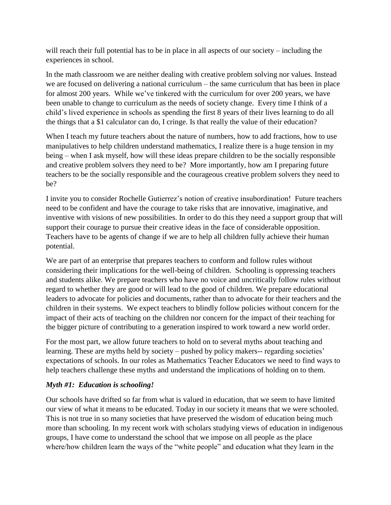will reach their full potential has to be in place in all aspects of our society – including the experiences in school.

In the math classroom we are neither dealing with creative problem solving nor values. Instead we are focused on delivering a national curriculum – the same curriculum that has been in place for almost 200 years. While we've tinkered with the curriculum for over 200 years, we have been unable to change to curriculum as the needs of society change. Every time I think of a child's lived experience in schools as spending the first 8 years of their lives learning to do all the things that a \$1 calculator can do, I cringe. Is that really the value of their education?

When I teach my future teachers about the nature of numbers, how to add fractions, how to use manipulatives to help children understand mathematics, I realize there is a huge tension in my being – when I ask myself, how will these ideas prepare children to be the socially responsible and creative problem solvers they need to be? More importantly, how am I preparing future teachers to be the socially responsible and the courageous creative problem solvers they need to be?

I invite you to consider Rochelle Gutierrez's notion of creative insubordination! Future teachers need to be confident and have the courage to take risks that are innovative, imaginative, and inventive with visions of new possibilities. In order to do this they need a support group that will support their courage to pursue their creative ideas in the face of considerable opposition. Teachers have to be agents of change if we are to help all children fully achieve their human potential.

We are part of an enterprise that prepares teachers to conform and follow rules without considering their implications for the well-being of children. Schooling is oppressing teachers and students alike. We prepare teachers who have no voice and uncritically follow rules without regard to whether they are good or will lead to the good of children. We prepare educational leaders to advocate for policies and documents, rather than to advocate for their teachers and the children in their systems. We expect teachers to blindly follow policies without concern for the impact of their acts of teaching on the children nor concern for the impact of their teaching for the bigger picture of contributing to a generation inspired to work toward a new world order.

For the most part, we allow future teachers to hold on to several myths about teaching and learning. These are myths held by society – pushed by policy makers-- regarding societies' expectations of schools. In our roles as Mathematics Teacher Educators we need to find ways to help teachers challenge these myths and understand the implications of holding on to them.

## *Myth #1: Education is schooling!*

Our schools have drifted so far from what is valued in education, that we seem to have limited our view of what it means to be educated. Today in our society it means that we were schooled. This is not true in so many societies that have preserved the wisdom of education being much more than schooling. In my recent work with scholars studying views of education in indigenous groups, I have come to understand the school that we impose on all people as the place where/how children learn the ways of the "white people" and education what they learn in the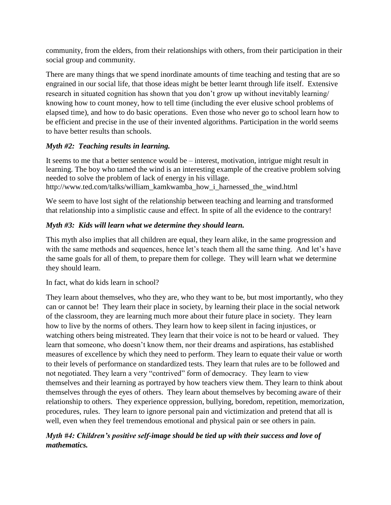community, from the elders, from their relationships with others, from their participation in their social group and community.

There are many things that we spend inordinate amounts of time teaching and testing that are so engrained in our social life, that those ideas might be better learnt through life itself. Extensive research in situated cognition has shown that you don't grow up without inevitably learning/ knowing how to count money, how to tell time (including the ever elusive school problems of elapsed time), and how to do basic operations. Even those who never go to school learn how to be efficient and precise in the use of their invented algorithms. Participation in the world seems to have better results than schools.

# *Myth #2: Teaching results in learning.*

It seems to me that a better sentence would be – interest, motivation, intrigue might result in learning. The boy who tamed the wind is an interesting example of the creative problem solving needed to solve the problem of lack of energy in his village. http://www.ted.com/talks/william\_kamkwamba\_how\_i\_harnessed\_the\_wind.html

We seem to have lost sight of the relationship between teaching and learning and transformed that relationship into a simplistic cause and effect. In spite of all the evidence to the contrary!

# *Myth #3: Kids will learn what we determine they should learn.*

This myth also implies that all children are equal, they learn alike, in the same progression and with the same methods and sequences, hence let's teach them all the same thing. And let's have the same goals for all of them, to prepare them for college. They will learn what we determine they should learn.

In fact, what do kids learn in school?

They learn about themselves, who they are, who they want to be, but most importantly, who they can or cannot be! They learn their place in society, by learning their place in the social network of the classroom, they are learning much more about their future place in society. They learn how to live by the norms of others. They learn how to keep silent in facing injustices, or watching others being mistreated. They learn that their voice is not to be heard or valued. They learn that someone, who doesn't know them, nor their dreams and aspirations, has established measures of excellence by which they need to perform. They learn to equate their value or worth to their levels of performance on standardized tests. They learn that rules are to be followed and not negotiated. They learn a very "contrived" form of democracy. They learn to view themselves and their learning as portrayed by how teachers view them. They learn to think about themselves through the eyes of others. They learn about themselves by becoming aware of their relationship to others. They experience oppression, bullying, boredom, repetition, memorization, procedures, rules. They learn to ignore personal pain and victimization and pretend that all is well, even when they feel tremendous emotional and physical pain or see others in pain.

# *Myth #4: Children's positive self-image should be tied up with their success and love of mathematics.*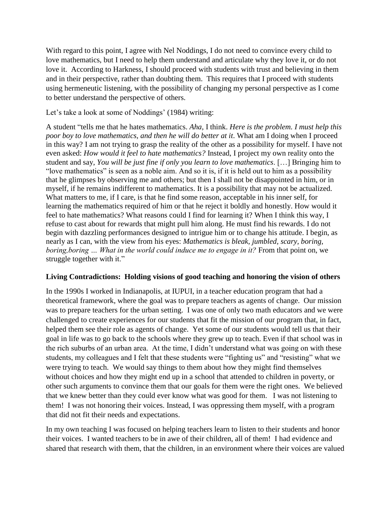With regard to this point, I agree with Nel Noddings, I do not need to convince every child to love mathematics, but I need to help them understand and articulate why they love it, or do not love it. According to Harkness, I should proceed with students with trust and believing in them and in their perspective, rather than doubting them. This requires that I proceed with students using hermeneutic listening, with the possibility of changing my personal perspective as I come to better understand the perspective of others.

Let's take a look at some of Noddings' (1984) writing:

A student "tells me that he hates mathematics. *Aha,* I think. *Here is the problem. I must help this poor boy to love mathematics, and then he will do better at it*. What am I doing when I proceed in this way? I am not trying to grasp the reality of the other as a possibility for myself. I have not even asked: *How would it feel to hate mathematics?* Instead, I project my own reality onto the student and say, *You will be just fine if only you learn to love mathematics*. […] Bringing him to "love mathematics" is seen as a noble aim. And so it is, if it is held out to him as a possibility that he glimpses by observing me and others; but then I shall not be disappointed in him, or in myself, if he remains indifferent to mathematics. It is a possibility that may not be actualized. What matters to me, if I care, is that he find some reason, acceptable in his inner self, for learning the mathematics required of him or that he reject it boldly and honestly. How would it feel to hate mathematics? What reasons could I find for learning it? When I think this way, I refuse to cast about for rewards that might pull him along. He must find his rewards. I do not begin with dazzling performances designed to intrigue him or to change his attitude. I begin, as nearly as I can, with the view from his eyes: *Mathematics is bleak, jumbled, scary, boring, boring,boring … What in the world could induce me to engage in it?* From that point on, we struggle together with it."

## **Living Contradictions: Holding visions of good teaching and honoring the vision of others**

In the 1990s I worked in Indianapolis, at IUPUI, in a teacher education program that had a theoretical framework, where the goal was to prepare teachers as agents of change. Our mission was to prepare teachers for the urban setting. I was one of only two math educators and we were challenged to create experiences for our students that fit the mission of our program that, in fact, helped them see their role as agents of change. Yet some of our students would tell us that their goal in life was to go back to the schools where they grew up to teach. Even if that school was in the rich suburbs of an urban area. At the time, I didn't understand what was going on with these students, my colleagues and I felt that these students were "fighting us" and "resisting" what we were trying to teach. We would say things to them about how they might find themselves without choices and how they might end up in a school that attended to children in poverty, or other such arguments to convince them that our goals for them were the right ones. We believed that we knew better than they could ever know what was good for them. I was not listening to them! I was not honoring their voices. Instead, I was oppressing them myself, with a program that did not fit their needs and expectations.

In my own teaching I was focused on helping teachers learn to listen to their students and honor their voices. I wanted teachers to be in awe of their children, all of them! I had evidence and shared that research with them, that the children, in an environment where their voices are valued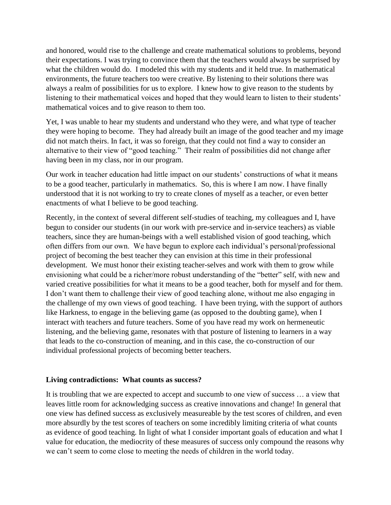and honored, would rise to the challenge and create mathematical solutions to problems, beyond their expectations. I was trying to convince them that the teachers would always be surprised by what the children would do. I modeled this with my students and it held true. In mathematical environments, the future teachers too were creative. By listening to their solutions there was always a realm of possibilities for us to explore. I knew how to give reason to the students by listening to their mathematical voices and hoped that they would learn to listen to their students' mathematical voices and to give reason to them too.

Yet, I was unable to hear my students and understand who they were, and what type of teacher they were hoping to become. They had already built an image of the good teacher and my image did not match theirs. In fact, it was so foreign, that they could not find a way to consider an alternative to their view of "good teaching." Their realm of possibilities did not change after having been in my class, nor in our program.

Our work in teacher education had little impact on our students' constructions of what it means to be a good teacher, particularly in mathematics. So, this is where I am now. I have finally understood that it is not working to try to create clones of myself as a teacher, or even better enactments of what I believe to be good teaching.

Recently, in the context of several different self-studies of teaching, my colleagues and I, have begun to consider our students (in our work with pre-service and in-service teachers) as viable teachers, since they are human-beings with a well established vision of good teaching, which often differs from our own. We have begun to explore each individual's personal/professional project of becoming the best teacher they can envision at this time in their professional development. We must honor their existing teacher-selves and work with them to grow while envisioning what could be a richer/more robust understanding of the "better" self, with new and varied creative possibilities for what it means to be a good teacher, both for myself and for them. I don't want them to challenge their view of good teaching alone, without me also engaging in the challenge of my own views of good teaching. I have been trying, with the support of authors like Harkness, to engage in the believing game (as opposed to the doubting game), when I interact with teachers and future teachers. Some of you have read my work on hermeneutic listening, and the believing game, resonates with that posture of listening to learners in a way that leads to the co-construction of meaning, and in this case, the co-construction of our individual professional projects of becoming better teachers.

#### **Living contradictions: What counts as success?**

It is troubling that we are expected to accept and succumb to one view of success … a view that leaves little room for acknowledging success as creative innovations and change! In general that one view has defined success as exclusively measureable by the test scores of children, and even more absurdly by the test scores of teachers on some incredibly limiting criteria of what counts as evidence of good teaching. In light of what I consider important goals of education and what I value for education, the mediocrity of these measures of success only compound the reasons why we can't seem to come close to meeting the needs of children in the world today.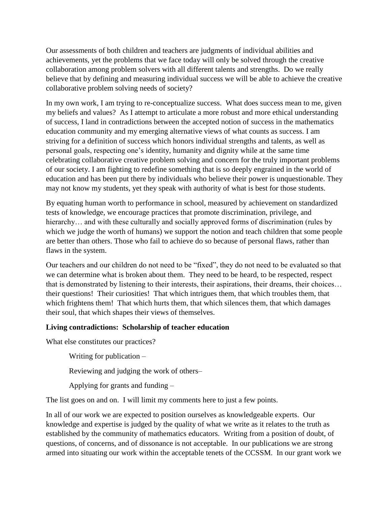Our assessments of both children and teachers are judgments of individual abilities and achievements, yet the problems that we face today will only be solved through the creative collaboration among problem solvers with all different talents and strengths. Do we really believe that by defining and measuring individual success we will be able to achieve the creative collaborative problem solving needs of society?

In my own work, I am trying to re-conceptualize success. What does success mean to me, given my beliefs and values? As I attempt to articulate a more robust and more ethical understanding of success, I land in contradictions between the accepted notion of success in the mathematics education community and my emerging alternative views of what counts as success. I am striving for a definition of success which honors individual strengths and talents, as well as personal goals, respecting one's identity, humanity and dignity while at the same time celebrating collaborative creative problem solving and concern for the truly important problems of our society. I am fighting to redefine something that is so deeply engrained in the world of education and has been put there by individuals who believe their power is unquestionable. They may not know my students, yet they speak with authority of what is best for those students.

By equating human worth to performance in school, measured by achievement on standardized tests of knowledge, we encourage practices that promote discrimination, privilege, and hierarchy... and with these culturally and socially approved forms of discrimination (rules by which we judge the worth of humans) we support the notion and teach children that some people are better than others. Those who fail to achieve do so because of personal flaws, rather than flaws in the system.

Our teachers and our children do not need to be "fixed", they do not need to be evaluated so that we can determine what is broken about them. They need to be heard, to be respected, respect that is demonstrated by listening to their interests, their aspirations, their dreams, their choices… their questions! Their curiosities! That which intrigues them, that which troubles them, that which frightens them! That which hurts them, that which silences them, that which damages their soul, that which shapes their views of themselves.

## **Living contradictions: Scholarship of teacher education**

What else constitutes our practices?

Writing for publication –

Reviewing and judging the work of others–

Applying for grants and funding –

The list goes on and on. I will limit my comments here to just a few points.

In all of our work we are expected to position ourselves as knowledgeable experts. Our knowledge and expertise is judged by the quality of what we write as it relates to the truth as established by the community of mathematics educators. Writing from a position of doubt, of questions, of concerns, and of dissonance is not acceptable. In our publications we are strong armed into situating our work within the acceptable tenets of the CCSSM. In our grant work we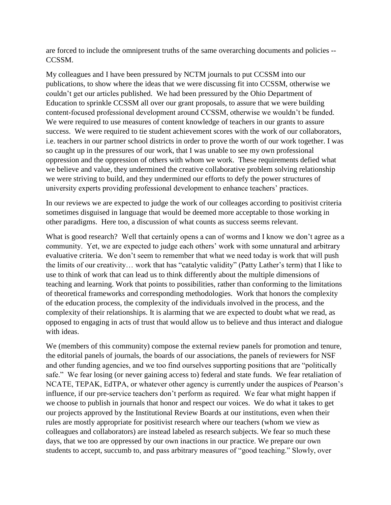are forced to include the omnipresent truths of the same overarching documents and policies -- CCSSM.

My colleagues and I have been pressured by NCTM journals to put CCSSM into our publications, to show where the ideas that we were discussing fit into CCSSM, otherwise we couldn't get our articles published. We had been pressured by the Ohio Department of Education to sprinkle CCSSM all over our grant proposals, to assure that we were building content-focused professional development around CCSSM, otherwise we wouldn't be funded. We were required to use measures of content knowledge of teachers in our grants to assure success. We were required to tie student achievement scores with the work of our collaborators, i.e. teachers in our partner school districts in order to prove the worth of our work together. I was so caught up in the pressures of our work, that I was unable to see my own professional oppression and the oppression of others with whom we work. These requirements defied what we believe and value, they undermined the creative collaborative problem solving relationship we were striving to build, and they undermined our efforts to defy the power structures of university experts providing professional development to enhance teachers' practices.

In our reviews we are expected to judge the work of our colleages according to positivist criteria sometimes disguised in language that would be deemed more acceptable to those working in other paradigms. Here too, a discussion of what counts as success seems relevant.

What is good research? Well that certainly opens a can of worms and I know we don't agree as a community. Yet, we are expected to judge each others' work with some unnatural and arbitrary evaluative criteria. We don't seem to remember that what we need today is work that will push the limits of our creativity… work that has "catalytic validity" (Patty Lather's term) that I like to use to think of work that can lead us to think differently about the multiple dimensions of teaching and learning. Work that points to possibilities, rather than conforming to the limitations of theoretical frameworks and corresponding methodologies. Work that honors the complexity of the education process, the complexity of the individuals involved in the process, and the complexity of their relationships. It is alarming that we are expected to doubt what we read, as opposed to engaging in acts of trust that would allow us to believe and thus interact and dialogue with ideas.

We (members of this community) compose the external review panels for promotion and tenure, the editorial panels of journals, the boards of our associations, the panels of reviewers for NSF and other funding agencies, and we too find ourselves supporting positions that are "politically safe." We fear losing (or never gaining access to) federal and state funds. We fear retaliation of NCATE, TEPAK, EdTPA, or whatever other agency is currently under the auspices of Pearson's influence, if our pre-service teachers don't perform as required. We fear what might happen if we choose to publish in journals that honor and respect our voices. We do what it takes to get our projects approved by the Institutional Review Boards at our institutions, even when their rules are mostly appropriate for positivist research where our teachers (whom we view as colleagues and collaborators) are instead labeled as research subjects. We fear so much these days, that we too are oppressed by our own inactions in our practice. We prepare our own students to accept, succumb to, and pass arbitrary measures of "good teaching." Slowly, over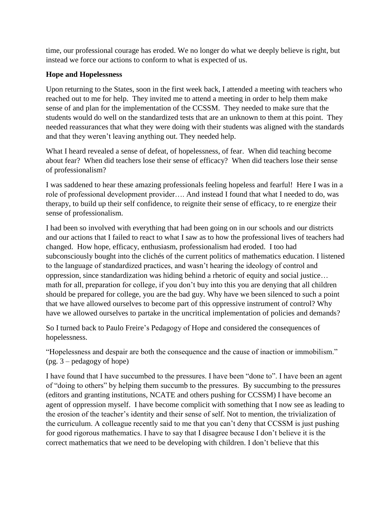time, our professional courage has eroded. We no longer do what we deeply believe is right, but instead we force our actions to conform to what is expected of us.

#### **Hope and Hopelessness**

Upon returning to the States, soon in the first week back, I attended a meeting with teachers who reached out to me for help. They invited me to attend a meeting in order to help them make sense of and plan for the implementation of the CCSSM. They needed to make sure that the students would do well on the standardized tests that are an unknown to them at this point. They needed reassurances that what they were doing with their students was aligned with the standards and that they weren't leaving anything out. They needed help.

What I heard revealed a sense of defeat, of hopelessness, of fear. When did teaching become about fear? When did teachers lose their sense of efficacy? When did teachers lose their sense of professionalism?

I was saddened to hear these amazing professionals feeling hopeless and fearful! Here I was in a role of professional development provider…. And instead I found that what I needed to do, was therapy, to build up their self confidence, to reignite their sense of efficacy, to re energize their sense of professionalism.

I had been so involved with everything that had been going on in our schools and our districts and our actions that I failed to react to what I saw as to how the professional lives of teachers had changed. How hope, efficacy, enthusiasm, professionalism had eroded. I too had subconsciously bought into the clichés of the current politics of mathematics education. I listened to the language of standardized practices, and wasn't hearing the ideology of control and oppression, since standardization was hiding behind a rhetoric of equity and social justice… math for all, preparation for college, if you don't buy into this you are denying that all children should be prepared for college, you are the bad guy. Why have we been silenced to such a point that we have allowed ourselves to become part of this oppressive instrument of control? Why have we allowed ourselves to partake in the uncritical implementation of policies and demands?

So I turned back to Paulo Freire's Pedagogy of Hope and considered the consequences of hopelessness.

"Hopelessness and despair are both the consequence and the cause of inaction or immobilism." (pg. 3 – pedagogy of hope)

I have found that I have succumbed to the pressures. I have been "done to". I have been an agent of "doing to others" by helping them succumb to the pressures. By succumbing to the pressures (editors and granting institutions, NCATE and others pushing for CCSSM) I have become an agent of oppression myself. I have become complicit with something that I now see as leading to the erosion of the teacher's identity and their sense of self. Not to mention, the trivialization of the curriculum. A colleague recently said to me that you can't deny that CCSSM is just pushing for good rigorous mathematics. I have to say that I disagree because I don't believe it is the correct mathematics that we need to be developing with children. I don't believe that this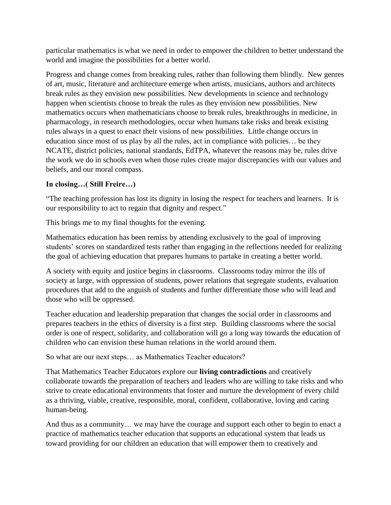particular mathematics is what we need in order to empower the children to better understand the world and imagine the possibilities for a better world.

Progress and change comes from breaking rules, rather than following them blindly. New genres of art, music, literature and architecture emerge when artists, musicians, authors and architects break rules as they envision new possibilities. New developments in science and technology happen when scientists choose to break the rules as they envision new possibilities. New mathematics occurs when mathematicians choose to break rules, breakthroughs in medicine, in pharmacology, in research methodologies, occur when humans take risks and break existing rules always in a quest to enact their visions of new possibilities. Little change occurs in education since most of us play by all the rules, act in compliance with policies… be they NCATE, district policies, national standards, EdTPA, whatever the reasons may be, rules drive the work we do in schools even when those rules create major discrepancies with our values and beliefs, and our moral compass.

## **In closing…( Still Freire…)**

"The teaching profession has lost its dignity in losing the respect for teachers and learners. It is our responsibility to act to regain that dignity and respect."

This brings me to my final thoughts for the evening.

Mathematics education has been remiss by attending exclusively to the goal of improving students' scores on standardized tests rather than engaging in the reflections needed for realizing the goal of achieving education that prepares humans to partake in creating a better world.

A society with equity and justice begins in classrooms. Classrooms today mirror the ills of society at large, with oppression of students, power relations that segregate students, evaluation procedures that add to the anguish of students and further differentiate those who will lead and those who will be oppressed.

Teacher education and leadership preparation that changes the social order in classrooms and prepares teachers in the ethics of diversity is a first step. Building classrooms where the social order is one of respect, solidarity, and collaboration will go a long way towards the education of children who can envision these human relations in the world around them.

So what are our next steps… as Mathematics Teacher educators?

That Mathematics Teacher Educators explore our **living contradictions** and creatively collaborate towards the preparation of teachers and leaders who are willing to take risks and who strive to create educational environments that foster and nurture the development of every child as a thriving, viable, creative, responsible, moral, confident, collaborative, loving and caring human-being.

And thus as a community… we may have the courage and support each other to begin to enact a practice of mathematics teacher education that supports an educational system that leads us toward providing for our children an education that will empower them to creatively and